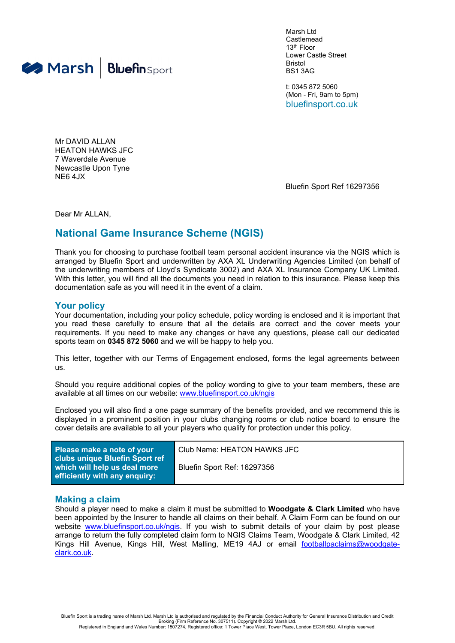

Marsh Ltd Castlemead 13th Floor Lower Castle Street Bristol BS1 3AG

t: 0345 872 5060 (Mon - Fri, 9am to 5pm) bluefinsport.co.uk

Mr DAVID ALLAN HEATON HAWKS JFC 7 Waverdale Avenue Newcastle Upon Tyne NE6 4JX

Bluefin Sport Ref 16297356

Dear Mr ALLAN,

### **National Game Insurance Scheme (NGIS)**

Thank you for choosing to purchase football team personal accident insurance via the NGIS which is arranged by Bluefin Sport and underwritten by AXA XL Underwriting Agencies Limited (on behalf of the underwriting members of Lloyd's Syndicate 3002) and AXA XL Insurance Company UK Limited. With this letter, you will find all the documents you need in relation to this insurance. Please keep this documentation safe as you will need it in the event of a claim.

#### **Your policy**

Your documentation, including your policy schedule, policy wording is enclosed and it is important that you read these carefully to ensure that all the details are correct and the cover meets your requirements. If you need to make any changes or have any questions, please call our dedicated sports team on **0345 872 5060** and we will be happy to help you.

This letter, together with our Terms of Engagement enclosed, forms the legal agreements between us.

Should you require additional copies of the policy wording to give to your team members, these are available at all times on our website: [www.bluefinsport.co.uk/ngis](http://www.bluefinsport.co.uk/ngis)

Enclosed you will also find a one page summary of the benefits provided, and we recommend this is displayed in a prominent position in your clubs changing rooms or club notice board to ensure the cover details are available to all your players who qualify for protection under this policy.

| Please make a note of your<br>clubs unique Bluefin Sport ref  | Club Name: HEATON HAWKS JFC |
|---------------------------------------------------------------|-----------------------------|
| which will help us deal more<br>efficiently with any enquiry: | Bluefin Sport Ref: 16297356 |

#### **Making a claim**

Should a player need to make a claim it must be submitted to **Woodgate & Clark Limited** who have been appointed by the Insurer to handle all claims on their behalf. A Claim Form can be found on our website [www.bluefinsport.co.uk/ngis](http://www.bluefinsport.co.uk/ngis). If you wish to submit details of your claim by post please arrange to return the fully completed claim form to NGIS Claims Team, Woodgate & Clark Limited, 42 Kings Hill Avenue, Kings Hill, West Malling, ME19 4AJ or email [footballpaclaims@woodgate](mailto:footballpaclaims@woodgate-clark.co.uk)[clark.co.uk.](mailto:footballpaclaims@woodgate-clark.co.uk)

Bluefin Sport is a trading name of Marsh Ltd. Marsh Ltd is authorised and regulated by the Financial Conduct Authority for General Insurance Distribution and Credit<br>Broking (Firm Reference No. 307511). Copyright © 2022 Mar Registered in England and Wales Number: 1507274, Registered office: 1 Tower Place West, Tower Place, London EC3R 5BU. All rights reserved.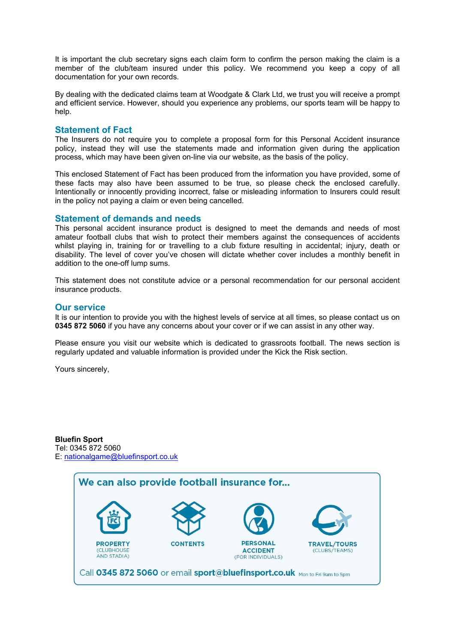It is important the club secretary signs each claim form to confirm the person making the claim is a member of the club/team insured under this policy. We recommend you keep a copy of all documentation for your own records.

By dealing with the dedicated claims team at Woodgate & Clark Ltd, we trust you will receive a prompt and efficient service. However, should you experience any problems, our sports team will be happy to help.

#### **Statement of Fact**

The Insurers do not require you to complete a proposal form for this Personal Accident insurance policy, instead they will use the statements made and information given during the application process, which may have been given on-line via our website, as the basis of the policy.

This enclosed Statement of Fact has been produced from the information you have provided, some of these facts may also have been assumed to be true, so please check the enclosed carefully. Intentionally or innocently providing incorrect, false or misleading information to Insurers could result in the policy not paying a claim or even being cancelled.

#### **Statement of demands and needs**

This personal accident insurance product is designed to meet the demands and needs of most amateur football clubs that wish to protect their members against the consequences of accidents whilst playing in, training for or travelling to a club fixture resulting in accidental; injury, death or disability. The level of cover you've chosen will dictate whether cover includes a monthly benefit in addition to the one-off lump sums.

This statement does not constitute advice or a personal recommendation for our personal accident insurance products.

#### **Our service**

It is our intention to provide you with the highest levels of service at all times, so please contact us on **0345 872 5060** if you have any concerns about your cover or if we can assist in any other way.

Please ensure you visit our website which is dedicated to grassroots football. The news section is regularly updated and valuable information is provided under the Kick the Risk section.

Yours sincerely,

**Bluefin Sport** Tel: 0345 872 5060 E: [nationalgame@bluefinsport.co.uk](mailto:nationalgame@bluefinsport.co.uk)

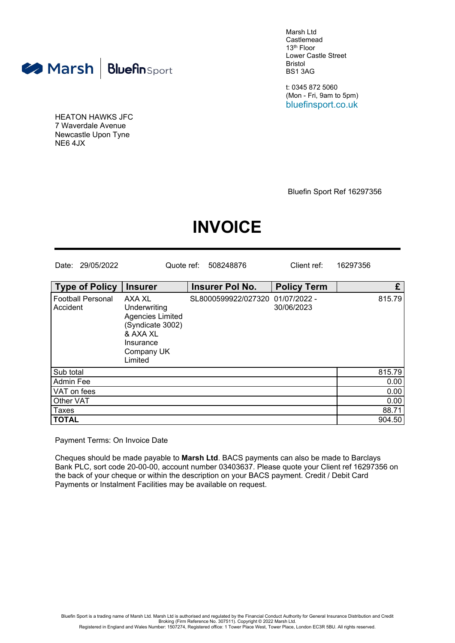

Marsh I td Castlemead 13th Floor Lower Castle Street Bristol BS1 3AG

t: 0345 872 5060 (Mon - Fri, 9am to 5pm) bluefinsport.co.uk

HEATON HAWKS JFC 7 Waverdale Avenue Newcastle Upon Tyne NE6 4JX

Bluefin Sport Ref 16297356

# **INVOICE**

| 29/05/2022<br>Date:                  | Quote ref:                                                                                                              | 508248876                        | Client ref:        | 16297356 |        |
|--------------------------------------|-------------------------------------------------------------------------------------------------------------------------|----------------------------------|--------------------|----------|--------|
| <b>Type of Policy</b>                | <b>Insurer</b>                                                                                                          | <b>Insurer Pol No.</b>           | <b>Policy Term</b> |          | £      |
| <b>Football Personal</b><br>Accident | AXA XL<br>Underwriting<br><b>Agencies Limited</b><br>(Syndicate 3002)<br>& AXA XL<br>Insurance<br>Company UK<br>Limited | SL8000599922/027320 01/07/2022 - | 30/06/2023         |          | 815.79 |
| Sub total                            |                                                                                                                         |                                  |                    |          | 815.79 |
| Admin Fee                            |                                                                                                                         |                                  |                    |          | 0.00   |
| VAT on fees                          |                                                                                                                         |                                  |                    |          | 0.00   |
| Other VAT                            |                                                                                                                         |                                  |                    |          | 0.00   |
| Taxes                                |                                                                                                                         |                                  |                    |          | 88.71  |
| <b>TOTAL</b>                         |                                                                                                                         |                                  |                    |          | 904.50 |

Payment Terms: On Invoice Date

Cheques should be made payable to **Marsh Ltd**. BACS payments can also be made to Barclays Bank PLC, sort code 20-00-00, account number 03403637. Please quote your Client ref 16297356 on the back of your cheque or within the description on your BACS payment. Credit / Debit Card Payments or Instalment Facilities may be available on request.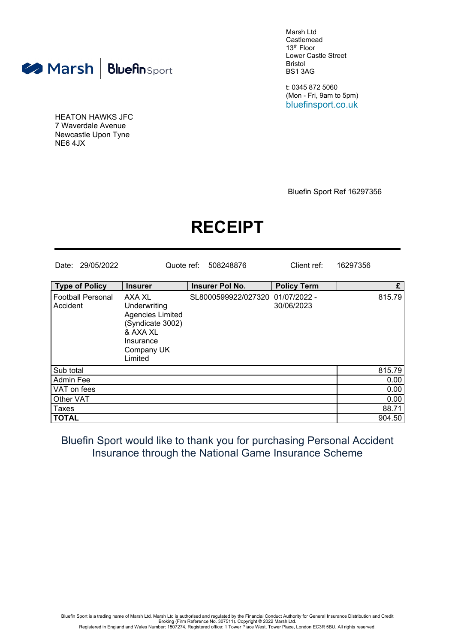

Marsh Ltd Castlemead 13th Floor Lower Castle Street Bristol BS1 3AG

t: 0345 872 5060 (Mon - Fri, 9am to 5pm) bluefinsport.co.uk

HEATON HAWKS JFC 7 Waverdale Avenue Newcastle Upon Tyne NE6 4JX

Bluefin Sport Ref 16297356

# **RECEIPT**

| Date: 29/05/2022                     | Quote ref:                                                                                                              | 508248876                        | Client ref:        | 16297356 |        |
|--------------------------------------|-------------------------------------------------------------------------------------------------------------------------|----------------------------------|--------------------|----------|--------|
| <b>Type of Policy</b>                | <b>Insurer</b>                                                                                                          | Insurer Pol No.                  | <b>Policy Term</b> |          | £      |
| <b>Football Personal</b><br>Accident | AXA XL<br>Underwriting<br><b>Agencies Limited</b><br>(Syndicate 3002)<br>& AXA XL<br>Insurance<br>Company UK<br>Limited | SL8000599922/027320 01/07/2022 - | 30/06/2023         |          | 815.79 |
| Sub total                            |                                                                                                                         |                                  |                    |          | 815.79 |
| Admin Fee                            |                                                                                                                         |                                  |                    |          | 0.00   |
| VAT on fees                          |                                                                                                                         |                                  |                    |          | 0.00   |
| Other VAT                            |                                                                                                                         |                                  |                    |          | 0.00   |
| Taxes                                |                                                                                                                         |                                  |                    |          | 88.71  |
| <b>TOTAL</b>                         |                                                                                                                         |                                  |                    |          | 904.50 |

### Bluefin Sport would like to thank you for purchasing Personal Accident Insurance through the National Game Insurance Scheme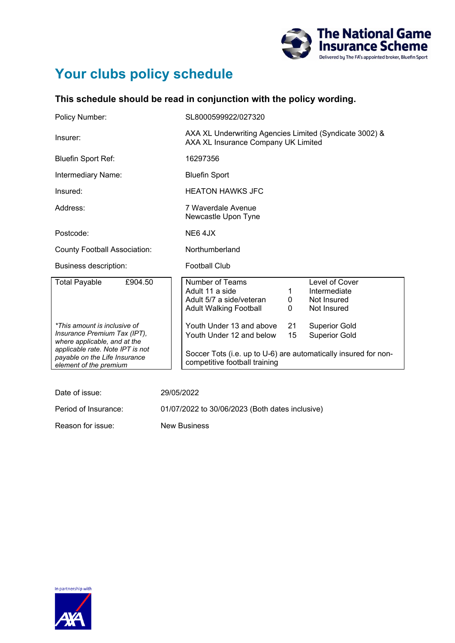

## **Your clubs policy schedule**

### **This schedule should be read in conjunction with the policy wording.**

| Policy Number:                                                                                                                                                                              | SL8000599922/027320                                                                                                                                                                                                  |  |  |  |
|---------------------------------------------------------------------------------------------------------------------------------------------------------------------------------------------|----------------------------------------------------------------------------------------------------------------------------------------------------------------------------------------------------------------------|--|--|--|
| Insurer:                                                                                                                                                                                    | AXA XL Underwriting Agencies Limited (Syndicate 3002) &<br>AXA XL Insurance Company UK Limited                                                                                                                       |  |  |  |
| <b>Bluefin Sport Ref:</b>                                                                                                                                                                   | 16297356                                                                                                                                                                                                             |  |  |  |
| Intermediary Name:                                                                                                                                                                          | <b>Bluefin Sport</b>                                                                                                                                                                                                 |  |  |  |
| Insured:                                                                                                                                                                                    | <b>HEATON HAWKS JFC</b>                                                                                                                                                                                              |  |  |  |
| Address:                                                                                                                                                                                    | 7 Waverdale Avenue<br>Newcastle Upon Tyne                                                                                                                                                                            |  |  |  |
| Postcode:                                                                                                                                                                                   | NE64JX                                                                                                                                                                                                               |  |  |  |
| <b>County Football Association:</b>                                                                                                                                                         | Northumberland                                                                                                                                                                                                       |  |  |  |
| Business description:                                                                                                                                                                       | <b>Football Club</b>                                                                                                                                                                                                 |  |  |  |
| £904.50<br><b>Total Payable</b>                                                                                                                                                             | <b>Number of Teams</b><br>Level of Cover<br>Adult 11 a side<br>Intermediate<br>1<br>Adult 5/7 a side/veteran<br>Not Insured<br>0<br>Not Insured<br><b>Adult Walking Football</b><br>0                                |  |  |  |
| *This amount is inclusive of<br>Insurance Premium Tax (IPT),<br>where applicable, and at the<br>applicable rate. Note IPT is not<br>payable on the Life Insurance<br>element of the premium | Youth Under 13 and above<br>21<br><b>Superior Gold</b><br>Youth Under 12 and below<br>15<br><b>Superior Gold</b><br>Soccer Tots (i.e. up to U-6) are automatically insured for non-<br>competitive football training |  |  |  |

| Date of issue:       | 29/05/2022                                      |
|----------------------|-------------------------------------------------|
| Period of Insurance: | 01/07/2022 to 30/06/2023 (Both dates inclusive) |
| Reason for issue:    | <b>New Business</b>                             |

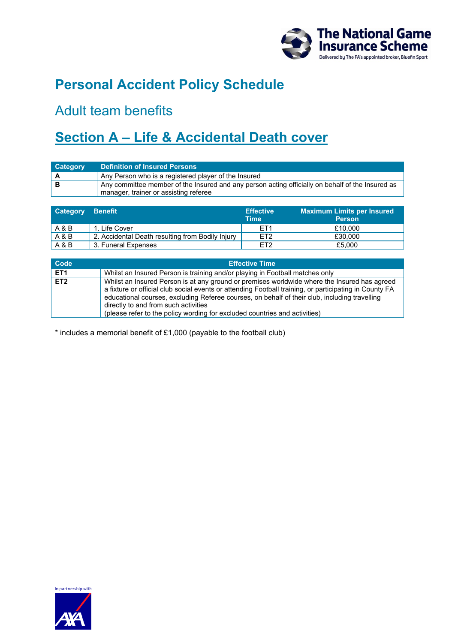

## **Personal Accident Policy Schedule**

### Adult team benefits

## **Section A – Life & Accidental Death cover**

| <b>Category</b> | <b>Definition of Insured Persons</b>                                                                                                      |
|-----------------|-------------------------------------------------------------------------------------------------------------------------------------------|
|                 | Any Person who is a registered player of the Insured                                                                                      |
|                 | Any committee member of the Insured and any person acting officially on behalf of the Insured as<br>manager, trainer or assisting referee |

| <b>Category Benefit</b> |                                                  | <b>Effective</b><br><b>Time</b> | ، Maximum Limits per Insured<br><b>Person</b> |
|-------------------------|--------------------------------------------------|---------------------------------|-----------------------------------------------|
| A & B                   | . Life Cover                                     | FT <sub>1</sub>                 | £10.000                                       |
| A & B                   | 2. Accidental Death resulting from Bodily Injury | ET <sub>2</sub>                 | £30,000                                       |
| A & B                   | 3. Funeral Expenses                              | ET <sub>2</sub>                 | £5,000                                        |

| Code            | <b>Effective Time</b>                                                                                                                                                                                                                                                                                                                                                                                                         |
|-----------------|-------------------------------------------------------------------------------------------------------------------------------------------------------------------------------------------------------------------------------------------------------------------------------------------------------------------------------------------------------------------------------------------------------------------------------|
| ET <sub>1</sub> | Whilst an Insured Person is training and/or playing in Football matches only                                                                                                                                                                                                                                                                                                                                                  |
| ET2             | Whilst an Insured Person is at any ground or premises worldwide where the Insured has agreed<br>a fixture or official club social events or attending Football training, or participating in County FA<br>educational courses, excluding Referee courses, on behalf of their club, including travelling<br>directly to and from such activities<br>(please refer to the policy wording for excluded countries and activities) |

 $*$  includes a memorial benefit of £1,000 (payable to the football club)

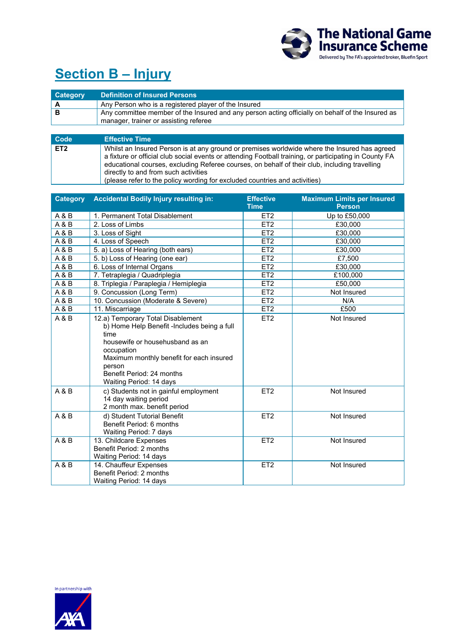

## **Section B – Injury**

| Category | <b>Definition of Insured Persons</b>                                                                                                      |
|----------|-------------------------------------------------------------------------------------------------------------------------------------------|
|          | Any Person who is a registered player of the Insured                                                                                      |
| В        | Any committee member of the Insured and any person acting officially on behalf of the Insured as<br>manager, trainer or assisting referee |
|          |                                                                                                                                           |
| Code     | Effective Time <b>\</b>                                                                                                                   |
| ___      |                                                                                                                                           |

| ET2 | Whilst an Insured Person is at any ground or premises worldwide where the Insured has agreed           |
|-----|--------------------------------------------------------------------------------------------------------|
|     | a fixture or official club social events or attending Football training, or participating in County FA |
|     | educational courses, excluding Referee courses, on behalf of their club, including travelling          |
|     | directly to and from such activities                                                                   |
|     | (please refer to the policy wording for excluded countries and activities)                             |

| <b>Category</b> | <b>Accidental Bodily Injury resulting in:</b>                                                                                                                                                                                                           | <b>Effective</b> | <b>Maximum Limits per Insured</b> |
|-----------------|---------------------------------------------------------------------------------------------------------------------------------------------------------------------------------------------------------------------------------------------------------|------------------|-----------------------------------|
|                 |                                                                                                                                                                                                                                                         | <b>Time</b>      | <b>Person</b>                     |
| A&B             | 1. Permanent Total Disablement                                                                                                                                                                                                                          | ET <sub>2</sub>  | Up to £50,000                     |
| A&B             | 2. Loss of Limbs                                                                                                                                                                                                                                        | ET <sub>2</sub>  | £30,000                           |
| A&B             | 3. Loss of Sight                                                                                                                                                                                                                                        | ET2              | £30,000                           |
| A&B             | 4. Loss of Speech                                                                                                                                                                                                                                       | ET <sub>2</sub>  | £30,000                           |
| A&B             | 5. a) Loss of Hearing (both ears)                                                                                                                                                                                                                       | ET <sub>2</sub>  | £30,000                           |
| A&B             | 5. b) Loss of Hearing (one ear)                                                                                                                                                                                                                         | ET <sub>2</sub>  | £7.500                            |
| A&B             | 6. Loss of Internal Organs                                                                                                                                                                                                                              | ET <sub>2</sub>  | £30,000                           |
| A & B           | 7. Tetraplegia / Quadriplegia                                                                                                                                                                                                                           | ET2              | £100,000                          |
| A&B             | 8. Triplegia / Paraplegia / Hemiplegia                                                                                                                                                                                                                  | ET <sub>2</sub>  | £50,000                           |
| A&B             | 9. Concussion (Long Term)                                                                                                                                                                                                                               | ET <sub>2</sub>  | Not Insured                       |
| A&B             | 10. Concussion (Moderate & Severe)                                                                                                                                                                                                                      | ET <sub>2</sub>  | N/A                               |
| A&B             | 11. Miscarriage                                                                                                                                                                                                                                         | ET <sub>2</sub>  | £500                              |
| A & B           | 12.a) Temporary Total Disablement<br>b) Home Help Benefit -Includes being a full<br>time<br>housewife or househusband as an<br>occupation<br>Maximum monthly benefit for each insured<br>person<br>Benefit Period: 24 months<br>Waiting Period: 14 days | ET <sub>2</sub>  | Not Insured                       |
| A & B           | c) Students not in gainful employment<br>14 day waiting period<br>2 month max. benefit period                                                                                                                                                           | ET <sub>2</sub>  | Not Insured                       |
| A & B           | d) Student Tutorial Benefit<br>Benefit Period: 6 months<br>Waiting Period: 7 days                                                                                                                                                                       | ET <sub>2</sub>  | Not Insured                       |
| A & B           | 13. Childcare Expenses<br>Benefit Period: 2 months<br>Waiting Period: 14 days                                                                                                                                                                           | ET <sub>2</sub>  | Not Insured                       |
| A & B           | 14. Chauffeur Expenses<br>Benefit Period: 2 months<br>Waiting Period: 14 days                                                                                                                                                                           | ET2              | Not Insured                       |

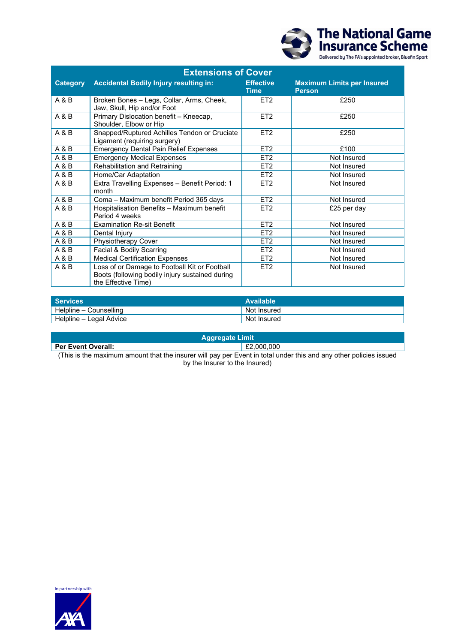

| <b>Extensions of Cover</b> |                                                                                                                         |                                 |                                                    |  |  |  |
|----------------------------|-------------------------------------------------------------------------------------------------------------------------|---------------------------------|----------------------------------------------------|--|--|--|
| <b>Category</b>            | <b>Accidental Bodily Injury resulting in:</b>                                                                           | <b>Effective</b><br><b>Time</b> | <b>Maximum Limits per Insured</b><br><b>Person</b> |  |  |  |
| A & B                      | Broken Bones - Legs, Collar, Arms, Cheek,<br>Jaw, Skull, Hip and/or Foot                                                | ET <sub>2</sub>                 | £250                                               |  |  |  |
| A&B                        | Primary Dislocation benefit - Kneecap,<br>Shoulder, Elbow or Hip                                                        | ET <sub>2</sub>                 | £250                                               |  |  |  |
| A&B                        | Snapped/Ruptured Achilles Tendon or Cruciate<br>Ligament (requiring surgery)                                            | ET <sub>2</sub>                 | £250                                               |  |  |  |
| A&B                        | <b>Emergency Dental Pain Relief Expenses</b>                                                                            | ET <sub>2</sub>                 | £100                                               |  |  |  |
| A & B                      | <b>Emergency Medical Expenses</b>                                                                                       | ET <sub>2</sub>                 | Not Insured                                        |  |  |  |
| A&B                        | Rehabilitation and Retraining                                                                                           | ET <sub>2</sub>                 | Not Insured                                        |  |  |  |
| A&B                        | Home/Car Adaptation                                                                                                     | ET <sub>2</sub>                 | Not Insured                                        |  |  |  |
| A&B                        | Extra Travelling Expenses - Benefit Period: 1<br>month                                                                  | ET <sub>2</sub>                 | Not Insured                                        |  |  |  |
| A&B                        | Coma - Maximum benefit Period 365 days                                                                                  | ET <sub>2</sub>                 | Not Insured                                        |  |  |  |
| A & B                      | Hospitalisation Benefits - Maximum benefit<br>Period 4 weeks                                                            | ET <sub>2</sub>                 | £25 per day                                        |  |  |  |
| A & B                      | <b>Examination Re-sit Benefit</b>                                                                                       | ET <sub>2</sub>                 | Not Insured                                        |  |  |  |
| A & B                      | Dental Injury                                                                                                           | ET <sub>2</sub>                 | Not Insured                                        |  |  |  |
| A & B                      | Physiotherapy Cover                                                                                                     | ET <sub>2</sub>                 | Not Insured                                        |  |  |  |
| A&B                        | Facial & Bodily Scarring                                                                                                | E <sub>T2</sub>                 | Not Insured                                        |  |  |  |
| A&B                        | <b>Medical Certification Expenses</b>                                                                                   | ET <sub>2</sub>                 | Not Insured                                        |  |  |  |
| A & B                      | Loss of or Damage to Football Kit or Football<br>Boots (following bodily injury sustained during<br>the Effective Time) | ET <sub>2</sub>                 | Not Insured                                        |  |  |  |

| Services                | <b>Available</b> |
|-------------------------|------------------|
| Helpline – Counselling  | Not Insured      |
| Helpline - Legal Advice | Not Insured      |

**Aggregate Limit**

**Per Event Overall:** 

(This is the maximum amount that the insurer will pay per Event in total under this and any other policies issued by the Insurer to the Insured)

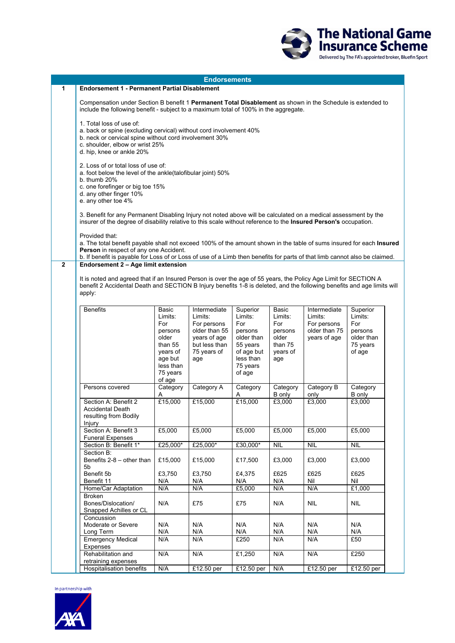

|                                                                                                                    |                                                                                                                                                                                                                                                                                                                |                                                                                                                  | <b>Endorsements</b>                                                                                            |                                                                                                                  |                                                                           |                                                                         |                                                                           |  |
|--------------------------------------------------------------------------------------------------------------------|----------------------------------------------------------------------------------------------------------------------------------------------------------------------------------------------------------------------------------------------------------------------------------------------------------------|------------------------------------------------------------------------------------------------------------------|----------------------------------------------------------------------------------------------------------------|------------------------------------------------------------------------------------------------------------------|---------------------------------------------------------------------------|-------------------------------------------------------------------------|---------------------------------------------------------------------------|--|
| 1                                                                                                                  | <b>Endorsement 1 - Permanent Partial Disablement</b>                                                                                                                                                                                                                                                           |                                                                                                                  |                                                                                                                |                                                                                                                  |                                                                           |                                                                         |                                                                           |  |
|                                                                                                                    | Compensation under Section B benefit 1 Permanent Total Disablement as shown in the Schedule is extended to<br>include the following benefit - subject to a maximum total of 100% in the aggregate.                                                                                                             |                                                                                                                  |                                                                                                                |                                                                                                                  |                                                                           |                                                                         |                                                                           |  |
|                                                                                                                    | 1. Total loss of use of:<br>a. back or spine (excluding cervical) without cord involvement 40%<br>b. neck or cervical spine without cord involvement 30%<br>c. shoulder, elbow or wrist 25%<br>d. hip, knee or ankle 20%                                                                                       |                                                                                                                  |                                                                                                                |                                                                                                                  |                                                                           |                                                                         |                                                                           |  |
|                                                                                                                    | 2. Loss of or total loss of use of:<br>a. foot below the level of the ankle(talofibular joint) 50%<br>$b.$ thumb $20\%$<br>c. one forefinger or big toe 15%<br>d. any other finger 10%<br>e. any other toe 4%                                                                                                  |                                                                                                                  |                                                                                                                |                                                                                                                  |                                                                           |                                                                         |                                                                           |  |
|                                                                                                                    | 3. Benefit for any Permanent Disabling Injury not noted above will be calculated on a medical assessment by the<br>insurer of the degree of disability relative to this scale without reference to the Insured Person's occupation.                                                                            |                                                                                                                  |                                                                                                                |                                                                                                                  |                                                                           |                                                                         |                                                                           |  |
|                                                                                                                    | Provided that:<br>a. The total benefit payable shall not exceed 100% of the amount shown in the table of sums insured for each Insured<br>Person in respect of any one Accident.<br>b. If benefit is payable for Loss of or Loss of use of a Limb then benefits for parts of that limb cannot also be claimed. |                                                                                                                  |                                                                                                                |                                                                                                                  |                                                                           |                                                                         |                                                                           |  |
| $\overline{2}$                                                                                                     | Endorsement 2 - Age limit extension                                                                                                                                                                                                                                                                            |                                                                                                                  |                                                                                                                |                                                                                                                  |                                                                           |                                                                         |                                                                           |  |
|                                                                                                                    | It is noted and agreed that if an Insured Person is over the age of 55 years, the Policy Age Limit for SECTION A<br>benefit 2 Accidental Death and SECTION B Injury benefits 1-8 is deleted, and the following benefits and age limits will<br>apply:                                                          |                                                                                                                  |                                                                                                                |                                                                                                                  |                                                                           |                                                                         |                                                                           |  |
|                                                                                                                    | <b>Benefits</b>                                                                                                                                                                                                                                                                                                | Basic<br>Limits:<br>For<br>persons<br>older<br>than 55<br>years of<br>age but<br>less than<br>75 years<br>of age | Intermediate<br>Limits:<br>For persons<br>older than 55<br>years of age<br>but less than<br>75 years of<br>age | Superior<br>Limits:<br>For<br>persons<br>older than<br>55 years<br>of age but<br>less than<br>75 years<br>of age | Basic<br>Limits:<br>For<br>persons<br>older<br>than 75<br>years of<br>age | Intermediate<br>Limits:<br>For persons<br>older than 75<br>years of age | Superior<br>Limits:<br>For<br>persons<br>older than<br>75 years<br>of age |  |
|                                                                                                                    | Persons covered                                                                                                                                                                                                                                                                                                | Category<br>Α                                                                                                    | Category A                                                                                                     | Category<br>Α                                                                                                    | Category<br>B only                                                        | Category B<br>only                                                      | Category<br><b>B</b> only                                                 |  |
|                                                                                                                    | Section A: Benefit 2<br><b>Accidental Death</b><br>resulting from Bodily<br>Injury                                                                                                                                                                                                                             | £15,000                                                                                                          | £15,000                                                                                                        | £15,000                                                                                                          | £3,000                                                                    | £3,000                                                                  | £3,000                                                                    |  |
|                                                                                                                    | Section A: Benefit 3<br><b>Funeral Expenses</b>                                                                                                                                                                                                                                                                | £5,000                                                                                                           | £5,000                                                                                                         | £5,000                                                                                                           | £5,000                                                                    | £5,000                                                                  | £5,000                                                                    |  |
|                                                                                                                    | Section B: Benefit 1*                                                                                                                                                                                                                                                                                          | $E25,000*$                                                                                                       | £25,000*                                                                                                       | £30,000*                                                                                                         | <b>NIL</b>                                                                | <b>NIL</b>                                                              | <b>NIL</b>                                                                |  |
|                                                                                                                    | Section B:<br>Benefits 2-8 - other than<br>5b                                                                                                                                                                                                                                                                  | £15,000                                                                                                          | £15,000                                                                                                        | £17,500                                                                                                          | £3,000                                                                    | £3,000                                                                  | £3.000                                                                    |  |
|                                                                                                                    | Benefit 5b                                                                                                                                                                                                                                                                                                     | £3,750                                                                                                           | £3,750                                                                                                         | £4,375                                                                                                           | £625                                                                      | £625                                                                    | £625                                                                      |  |
|                                                                                                                    | Benefit 11<br>Home/Car Adaptation                                                                                                                                                                                                                                                                              | N/A<br>N/A                                                                                                       | N/A<br>N/A                                                                                                     | N/A<br>£5,000                                                                                                    | N/A<br>N/A                                                                | Nil<br>N/A                                                              | Nil<br>£1,000                                                             |  |
| <b>Broken</b>                                                                                                      |                                                                                                                                                                                                                                                                                                                |                                                                                                                  |                                                                                                                |                                                                                                                  |                                                                           |                                                                         |                                                                           |  |
| Bones/Dislocation/<br>N/A<br>£75<br>N/A<br><b>NIL</b><br><b>NIL</b><br>£75<br>Snapped Achilles or CL<br>Concussion |                                                                                                                                                                                                                                                                                                                |                                                                                                                  |                                                                                                                |                                                                                                                  |                                                                           |                                                                         |                                                                           |  |
|                                                                                                                    | Moderate or Severe                                                                                                                                                                                                                                                                                             | N/A                                                                                                              | N/A                                                                                                            | N/A                                                                                                              | N/A                                                                       | N/A                                                                     | N/A                                                                       |  |
|                                                                                                                    | Long Term                                                                                                                                                                                                                                                                                                      | N/A                                                                                                              | N/A                                                                                                            | N/A                                                                                                              | N/A                                                                       | N/A                                                                     | N/A                                                                       |  |
|                                                                                                                    | <b>Emergency Medical</b><br>Expenses                                                                                                                                                                                                                                                                           | N/A                                                                                                              | N/A                                                                                                            | £250                                                                                                             | N/A                                                                       | N/A                                                                     | £50                                                                       |  |
|                                                                                                                    | Rehabilitation and<br>retraining expenses                                                                                                                                                                                                                                                                      | N/A                                                                                                              | N/A                                                                                                            | £1,250                                                                                                           | N/A                                                                       | N/A                                                                     | £250                                                                      |  |
|                                                                                                                    | Hospitalisation benefits                                                                                                                                                                                                                                                                                       | N/A                                                                                                              | £12.50 per                                                                                                     | £12.50 per                                                                                                       | N/A                                                                       | £12.50 per                                                              | £12.50 per                                                                |  |

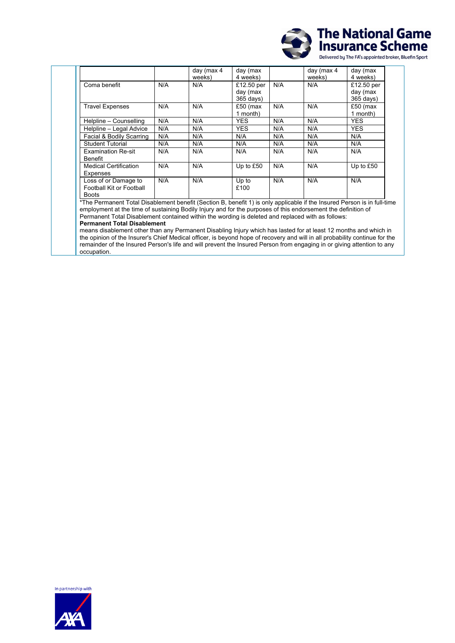

|                              |     | day (max 4 | day (max    |     | day (max 4 | day (max   |
|------------------------------|-----|------------|-------------|-----|------------|------------|
|                              |     | weeks)     | 4 weeks)    |     | weeks)     | 4 weeks)   |
| Coma benefit                 | N/A | N/A        | £12.50 per  | N/A | N/A        | £12.50 per |
|                              |     |            | day (max    |     |            | day (max   |
|                              |     |            | 365 days)   |     |            | 365 days)  |
| <b>Travel Expenses</b>       | N/A | N/A        | $£50$ (max  | N/A | N/A        | $£50$ (max |
|                              |     |            | 1 month)    |     |            | 1 month)   |
| Helpline - Counselling       | N/A | N/A        | <b>YES</b>  | N/A | N/A        | <b>YES</b> |
| Helpline - Legal Advice      | N/A | N/A        | <b>YES</b>  | N/A | N/A        | <b>YES</b> |
| Facial & Bodily Scarring     | N/A | N/A        | N/A         | N/A | N/A        | N/A        |
| <b>Student Tutorial</b>      | N/A | N/A        | N/A         | N/A | N/A        | N/A        |
| <b>Examination Re-sit</b>    | N/A | N/A        | N/A         | N/A | N/A        | N/A        |
| Benefit                      |     |            |             |     |            |            |
| <b>Medical Certification</b> | N/A | N/A        | Up to $£50$ | N/A | N/A        | Up to £50  |
| <b>Expenses</b>              |     |            |             |     |            |            |
| Loss of or Damage to         | N/A | N/A        | Up to       | N/A | N/A        | N/A        |
| Football Kit or Football     |     |            | £100        |     |            |            |
| <b>Boots</b>                 |     |            |             |     |            |            |

\*The Permanent Total Disablement benefit (Section B, benefit 1) is only applicable if the Insured Person is in full-time employment at the time of sustaining Bodily Injury and for the purposes of this endorsement the definition of Permanent Total Disablement contained within the wording is deleted and replaced with as follows:

#### **Permanent Total Disablement**

means disablement other than any Permanent Disabling Injury which has lasted for at least 12 months and which in the opinion of the Insurer's Chief Medical officer, is beyond hope of recovery and will in all probability continue for the remainder of the Insured Person's life and will prevent the Insured Person from engaging in or giving attention to any occupation.

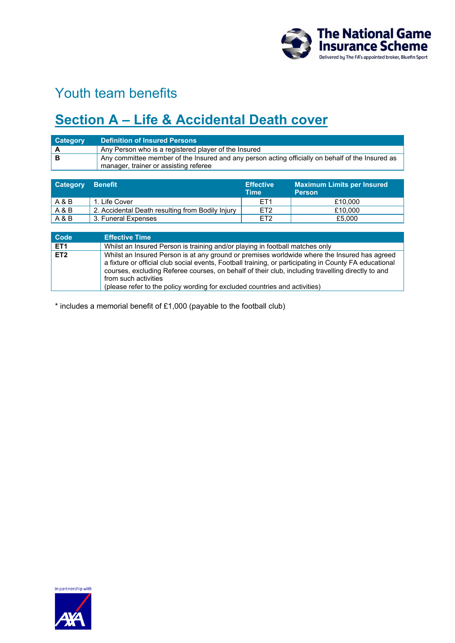

### Youth team benefits

## **Section A – Life & Accidental Death cover**

| <b>Category</b> | <b>Definition of Insured Persons</b>                                                                                                      |
|-----------------|-------------------------------------------------------------------------------------------------------------------------------------------|
|                 | Any Person who is a registered player of the Insured                                                                                      |
|                 | Any committee member of the Insured and any person acting officially on behalf of the Insured as<br>manager, trainer or assisting referee |

| <b>Category</b> | Benefit                                          | <b>Effective</b><br><b>Time</b> | <b>Maximum Limits per Insured</b><br><b>Person</b> |
|-----------------|--------------------------------------------------|---------------------------------|----------------------------------------------------|
| A & B           | . Life Cover                                     | FT <sub>1</sub>                 | £10.000                                            |
| A & B           | 2. Accidental Death resulting from Bodily Injury | ET <sub>2</sub>                 | £10.000                                            |
| A & B           | 3. Funeral Expenses                              | ET <sub>2</sub>                 | £5,000                                             |

| Code            | <b>Effective Time</b>                                                                                                                                                                                                                                                                                                                                                                                             |
|-----------------|-------------------------------------------------------------------------------------------------------------------------------------------------------------------------------------------------------------------------------------------------------------------------------------------------------------------------------------------------------------------------------------------------------------------|
| ET <sub>1</sub> | Whilst an Insured Person is training and/or playing in football matches only                                                                                                                                                                                                                                                                                                                                      |
| ET2             | Whilst an Insured Person is at any ground or premises worldwide where the Insured has agreed<br>a fixture or official club social events, Football training, or participating in County FA educational<br>courses, excluding Referee courses, on behalf of their club, including travelling directly to and<br>from such activities<br>(please refer to the policy wording for excluded countries and activities) |

\* includes a memorial benefit of £1,000 (payable to the football club)

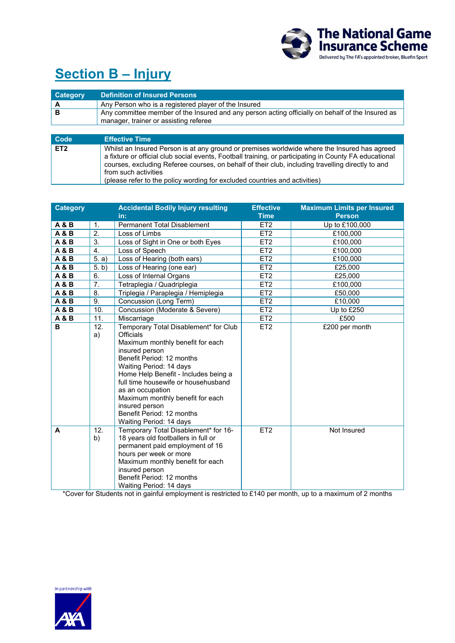

## **Section B – Injury**

| Category        | <b>Definition of Insured Persons</b>                                                                                                      |
|-----------------|-------------------------------------------------------------------------------------------------------------------------------------------|
| A               | Any Person who is a registered player of the Insured                                                                                      |
| В               | Any committee member of the Insured and any person acting officially on behalf of the Insured as<br>manager, trainer or assisting referee |
|                 |                                                                                                                                           |
| Code            | <b>Effective Time</b>                                                                                                                     |
| ET <sub>2</sub> | Whilst an Insured Person is at any ground or premises worldwide where the Insured has agreed                                              |

a fixture or official club social events, Football training, or participating in County FA educational courses, excluding Referee courses, on behalf of their club, including travelling directly to and from such activities

(please refer to the policy wording for excluded countries and activities)

| <b>Category</b> |                  | <b>Accidental Bodily Injury resulting</b><br>in:                                                                                                                                                                                                                                                                                                                                         | <b>Effective</b><br><b>Time</b> | <b>Maximum Limits per Insured</b><br><b>Person</b> |
|-----------------|------------------|------------------------------------------------------------------------------------------------------------------------------------------------------------------------------------------------------------------------------------------------------------------------------------------------------------------------------------------------------------------------------------------|---------------------------------|----------------------------------------------------|
| <b>A&amp;B</b>  | 1.               | <b>Permanent Total Disablement</b>                                                                                                                                                                                                                                                                                                                                                       | ET <sub>2</sub>                 | Up to £100,000                                     |
| <b>A&amp;B</b>  | $\overline{2}$ . | Loss of Limbs                                                                                                                                                                                                                                                                                                                                                                            | ET2                             | £100,000                                           |
| <b>A&amp;B</b>  | 3.               | Loss of Sight in One or both Eyes                                                                                                                                                                                                                                                                                                                                                        | ET <sub>2</sub>                 | £100,000                                           |
| <b>A&amp;B</b>  | $\overline{4}$ . | Loss of Speech                                                                                                                                                                                                                                                                                                                                                                           | ET <sub>2</sub>                 | £100,000                                           |
| <b>A&amp;B</b>  | 5. a)            | Loss of Hearing (both ears)                                                                                                                                                                                                                                                                                                                                                              | ET <sub>2</sub>                 | £100,000                                           |
| <b>A&amp;B</b>  | 5. b)            | Loss of Hearing (one ear)                                                                                                                                                                                                                                                                                                                                                                | ET <sub>2</sub>                 | £25,000                                            |
| <b>A&amp;B</b>  | 6.               | Loss of Internal Organs                                                                                                                                                                                                                                                                                                                                                                  | ET <sub>2</sub>                 | £25,000                                            |
| <b>A&amp;B</b>  | $\overline{7}$ . | Tetraplegia / Quadriplegia                                                                                                                                                                                                                                                                                                                                                               | ET <sub>2</sub>                 | £100,000                                           |
| <b>A&amp;B</b>  | 8.               | Triplegia / Paraplegia / Hemiplegia                                                                                                                                                                                                                                                                                                                                                      | ET <sub>2</sub>                 | £50,000                                            |
| <b>A&amp;B</b>  | $\overline{9}$ . | Concussion (Long Term)                                                                                                                                                                                                                                                                                                                                                                   | ET <sub>2</sub>                 | £10,000                                            |
| <b>A&amp;B</b>  | 10.              | Concussion (Moderate & Severe)                                                                                                                                                                                                                                                                                                                                                           | ET <sub>2</sub>                 | Up to £250                                         |
| <b>A&amp;B</b>  | 11.              | Miscarriage                                                                                                                                                                                                                                                                                                                                                                              | ET <sub>2</sub>                 | £500                                               |
| B               | 12.<br>a)        | Temporary Total Disablement* for Club<br><b>Officials</b><br>Maximum monthly benefit for each<br>insured person<br>Benefit Period: 12 months<br>Waiting Period: 14 days<br>Home Help Benefit - Includes being a<br>full time housewife or househusband<br>as an occupation<br>Maximum monthly benefit for each<br>insured person<br>Benefit Period: 12 months<br>Waiting Period: 14 days | ET <sub>2</sub>                 | £200 per month                                     |
| A               | 12.<br>b)        | Temporary Total Disablement* for 16-<br>18 years old footballers in full or<br>permanent paid employment of 16<br>hours per week or more<br>Maximum monthly benefit for each<br>insured person<br>Benefit Period: 12 months<br>Waiting Period: 14 days                                                                                                                                   | ET <sub>2</sub>                 | Not Insured                                        |

\*Cover for Students not in gainful employment is restricted to £140 per month, up to a maximum of 2 months

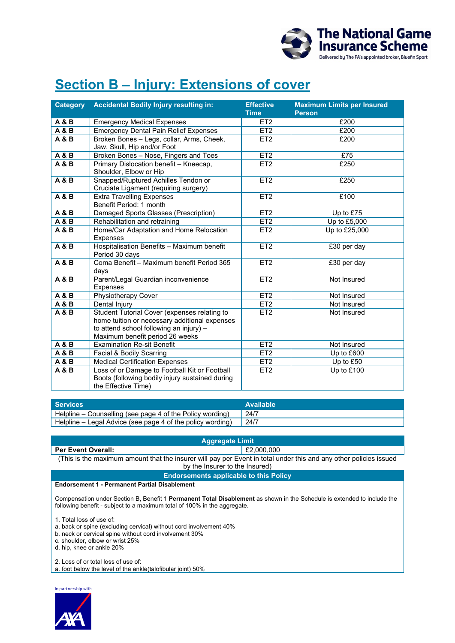

## **Section B – Injury: Extensions of cover**

| <b>Category</b> | <b>Accidental Bodily Injury resulting in:</b>                                                                                                                               | <b>Effective</b><br><b>Time</b> | <b>Maximum Limits per Insured</b><br><b>Person</b> |
|-----------------|-----------------------------------------------------------------------------------------------------------------------------------------------------------------------------|---------------------------------|----------------------------------------------------|
| <b>A&amp;B</b>  | <b>Emergency Medical Expenses</b>                                                                                                                                           | ET <sub>2</sub>                 | £200                                               |
| <b>A&amp;B</b>  | <b>Emergency Dental Pain Relief Expenses</b>                                                                                                                                | ET <sub>2</sub>                 | £200                                               |
| A & B           | Broken Bones - Legs, collar, Arms, Cheek,<br>Jaw, Skull, Hip and/or Foot                                                                                                    | ET <sub>2</sub>                 | £200                                               |
| <b>A&amp;B</b>  | Broken Bones - Nose, Fingers and Toes                                                                                                                                       | ET <sub>2</sub>                 | £75                                                |
| <b>A&amp;B</b>  | Primary Dislocation benefit - Kneecap,<br>Shoulder, Elbow or Hip                                                                                                            | ET <sub>2</sub>                 | £250                                               |
| A & B           | Snapped/Ruptured Achilles Tendon or<br>Cruciate Ligament (requiring surgery)                                                                                                | ET <sub>2</sub>                 | £250                                               |
| <b>A&amp;B</b>  | <b>Extra Travelling Expenses</b><br>Benefit Period: 1 month                                                                                                                 | ET <sub>2</sub>                 | £100                                               |
| <b>A&amp;B</b>  | Damaged Sports Glasses (Prescription)                                                                                                                                       | ET <sub>2</sub>                 | Up to £75                                          |
| A & B           | Rehabilitation and retraining                                                                                                                                               | ET <sub>2</sub>                 | Up to £5,000                                       |
| <b>A&amp;B</b>  | Home/Car Adaptation and Home Relocation<br><b>Expenses</b>                                                                                                                  | ET <sub>2</sub>                 | Up to £25,000                                      |
| <b>A&amp;B</b>  | Hospitalisation Benefits - Maximum benefit<br>Period 30 days                                                                                                                | ET <sub>2</sub>                 | £30 per day                                        |
| A & B           | Coma Benefit - Maximum benefit Period 365<br>days                                                                                                                           | ET <sub>2</sub>                 | £30 per day                                        |
| <b>A&amp;B</b>  | Parent/Legal Guardian inconvenience<br><b>Expenses</b>                                                                                                                      | ET <sub>2</sub>                 | Not Insured                                        |
| <b>A&amp;B</b>  | Physiotherapy Cover                                                                                                                                                         | ET2                             | Not Insured                                        |
| <b>A&amp;B</b>  | Dental Injury                                                                                                                                                               | ET <sub>2</sub>                 | Not Insured                                        |
| <b>A&amp;B</b>  | Student Tutorial Cover (expenses relating to<br>home tuition or necessary additional expenses<br>to attend school following an injury) -<br>Maximum benefit period 26 weeks | ET <sub>2</sub>                 | Not Insured                                        |
| <b>A&amp;B</b>  | <b>Examination Re-sit Benefit</b>                                                                                                                                           | ET <sub>2</sub>                 | Not Insured                                        |
| <b>A&amp;B</b>  | Facial & Bodily Scarring                                                                                                                                                    | ET <sub>2</sub>                 | Up to £600                                         |
| <b>A&amp;B</b>  | <b>Medical Certification Expenses</b>                                                                                                                                       | ET <sub>2</sub>                 | Up to £50                                          |
| <b>A&amp;B</b>  | Loss of or Damage to Football Kit or Football<br>Boots (following bodily injury sustained during<br>the Effective Time)                                                     | ET <sub>2</sub>                 | Up to £100                                         |

| <b>Services</b>                                            | <b>Available</b> |
|------------------------------------------------------------|------------------|
| Helpline – Counselling (see page 4 of the Policy wording)  | 24/7             |
| Helpline – Legal Advice (see page 4 of the policy wording) | 24/7             |

#### **Aggregate Limit**

**Per Event Overall:**  $\sqrt{2.000,000}$ 

(This is the maximum amount that the insurer will pay per Event in total under this and any other policies issued by the Insurer to the Insured)

#### **Endorsements applicable to this Policy**

#### **Endorsement 1 - Permanent Partial Disablement**

Compensation under Section B, Benefit 1 **Permanent Total Disablement** as shown in the Schedule is extended to include the following benefit - subject to a maximum total of 100% in the aggregate.

1. Total loss of use of:

- a. back or spine (excluding cervical) without cord involvement 40%
- b. neck or cervical spine without cord involvement 30%
- c. shoulder, elbow or wrist 25%
- d. hip, knee or ankle 20%

2. Loss of or total loss of use of:

a. foot below the level of the ankle(talofibular joint) 50%

In partnership with

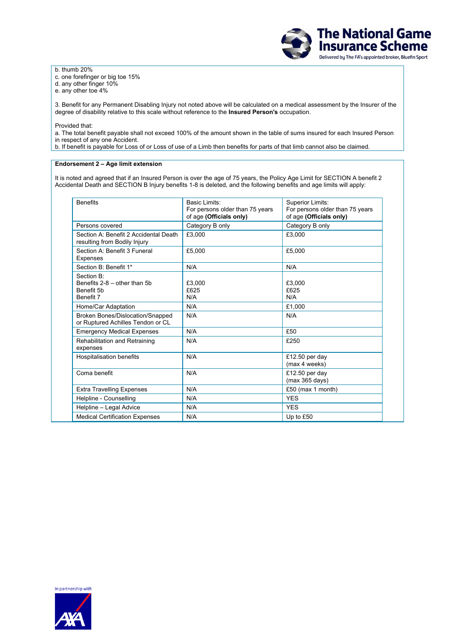b. thumb 20%

c. one forefinger or big toe 15%

- d. any other finger 10%
- e. any other toe 4%

3. Benefit for any Permanent Disabling Injury not noted above will be calculated on a medical assessment by the Insurer of the degree of disability relative to this scale without reference to the **Insured Person's** occupation.

**The National Game Insurance Scheme** Delivered by The FA's appointed broker, Bluefin Sport

Provided that:

a. The total benefit payable shall not exceed 100% of the amount shown in the table of sums insured for each Insured Person in respect of any one Accident.

b. If benefit is payable for Loss of or Loss of use of a Limb then benefits for parts of that limb cannot also be claimed.

#### **Endorsement 2 – Age limit extension**

It is noted and agreed that if an Insured Person is over the age of 75 years, the Policy Age Limit for SECTION A benefit 2 Accidental Death and SECTION B Injury benefits 1-8 is deleted, and the following benefits and age limits will apply:

| <b>Benefits</b>                                                              | Basic Limits:<br>For persons older than 75 years<br>of age (Officials only) | Superior Limits:<br>For persons older than 75 years<br>of age (Officials only) |  |
|------------------------------------------------------------------------------|-----------------------------------------------------------------------------|--------------------------------------------------------------------------------|--|
| Persons covered                                                              | Category B only                                                             | Category B only                                                                |  |
| Section A: Benefit 2 Accidental Death<br>resulting from Bodily Injury        | £3,000                                                                      | £3.000                                                                         |  |
| Section A: Benefit 3 Funeral<br>Expenses                                     | £5.000                                                                      | £5.000                                                                         |  |
| Section B: Benefit 1*                                                        | N/A                                                                         | N/A                                                                            |  |
| Section B:<br>Benefits 2-8 - other than 5b<br>Benefit 5b<br>Benefit 7        | £3,000<br>£625<br>N/A                                                       | £3.000<br>£625<br>N/A                                                          |  |
| Home/Car Adaptation                                                          | N/A                                                                         | £1.000                                                                         |  |
| <b>Broken Bones/Dislocation/Snapped</b><br>or Ruptured Achilles Tendon or CL | N/A                                                                         | N/A                                                                            |  |
| <b>Emergency Medical Expenses</b>                                            | N/A                                                                         | £50                                                                            |  |
| Rehabilitation and Retraining<br>expenses                                    | N/A                                                                         | £250                                                                           |  |
| <b>Hospitalisation benefits</b>                                              | N/A                                                                         | £12.50 per day<br>(max 4 weeks)                                                |  |
| Coma benefit                                                                 | N/A                                                                         | £12.50 per day<br>(max 365 days)                                               |  |
| <b>Extra Travelling Expenses</b>                                             | N/A                                                                         | £50 (max 1 month)                                                              |  |
| Helpline - Counselling                                                       | N/A                                                                         | <b>YES</b>                                                                     |  |
| Helpline - Legal Advice                                                      | N/A                                                                         | <b>YES</b>                                                                     |  |
| <b>Medical Certification Expenses</b>                                        | N/A                                                                         | Up to £50                                                                      |  |

In partnership with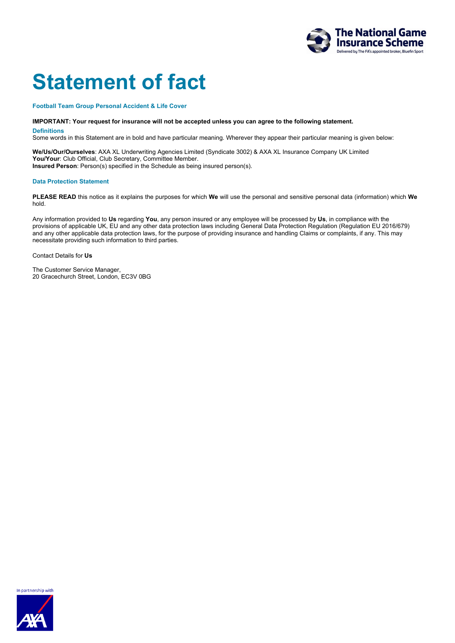

# **Statement of fact**

**Football Team Group Personal Accident & Life Cover**

#### **IMPORTANT: Your request for insurance will not be accepted unless you can agree to the following statement.**

**Definitions** Some words in this Statement are in bold and have particular meaning. Wherever they appear their particular meaning is given below:

**We/Us/Our/Ourselves**: AXA XL Underwriting Agencies Limited (Syndicate 3002) & AXA XL Insurance Company UK Limited **You/Your**: Club Official, Club Secretary, Committee Member. **Insured Person**: Person(s) specified in the Schedule as being insured person(s).

#### **Data Protection Statement**

**PLEASE READ** this notice as it explains the purposes for which **We** will use the personal and sensitive personal data (information) which **We** hold.

Any information provided to **Us** regarding **You**, any person insured or any employee will be processed by **Us**, in compliance with the provisions of applicable UK, EU and any other data protection laws including General Data Protection Regulation (Regulation EU 2016/679) and any other applicable data protection laws, for the purpose of providing insurance and handling Claims or complaints, if any. This may necessitate providing such information to third parties.

Contact Details for **Us**

The Customer Service Manager, 20 Gracechurch Street, London, EC3V 0BG

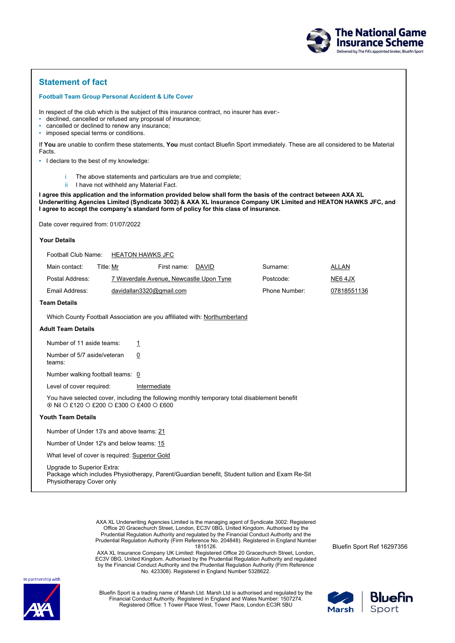

#### **Statement of fact**

#### **Football Team Group Personal Accident & Life Cover**

In respect of the club which is the subject of this insurance contract, no insurer has ever:-

- declined, cancelled or refused any proposal of insurance;
- cancelled or declined to renew any insurance;
- imposed special terms or conditions.

If **You** are unable to confirm these statements, **You** must contact Bluefin Sport immediately. These are all considered to be Material Facts.

• I declare to the best of my knowledge:

- i The above statements and particulars are true and complete;
- ii I have not withheld any Material Fact.

**I agree this application and the information provided below shall form the basis of the contract between AXA XL Underwriting Agencies Limited (Syndicate 3002) & AXA XL Insurance Company UK Limited and HEATON HAWKS JFC, and I agree to accept the company's standard form of policy for this class of insurance.**

Date cover required from: 01/07/2022

#### **Your Details**

Football Club Name: HEATON HAWKS JFC

| Main contact:   | Title: Mr | <b>DAVID</b><br>First name:             | Surname:      | ALLAN       |
|-----------------|-----------|-----------------------------------------|---------------|-------------|
| Postal Address: |           | 7 Waverdale Avenue, Newcastle Upon Tyne | Postcode:     | NE6 4JX     |
| Email Address:  |           | davidallan3320@gmail.com                | Phone Number: | 07818551136 |

#### **Team Details**

Which County Football Association are you affiliated with: Northumberland

#### **Adult Team Details**

|                                                                                                                                                | Number of 11 aside teams:                              | 1                                                                                              |  |  |
|------------------------------------------------------------------------------------------------------------------------------------------------|--------------------------------------------------------|------------------------------------------------------------------------------------------------|--|--|
|                                                                                                                                                | Number of 5/7 aside/veteran<br>teams:                  | 0                                                                                              |  |  |
|                                                                                                                                                | Number walking football teams: 0                       |                                                                                                |  |  |
|                                                                                                                                                | Level of cover required:                               | Intermediate                                                                                   |  |  |
| You have selected cover, including the following monthly temporary total disablement benefit<br>$\odot$ Nil O £120 O £200 O £300 O £400 O £600 |                                                        |                                                                                                |  |  |
| Youth Team Details                                                                                                                             |                                                        |                                                                                                |  |  |
|                                                                                                                                                | Number of Under 13's and above teams: 21               |                                                                                                |  |  |
|                                                                                                                                                | Number of Under 12's and below teams: 15               |                                                                                                |  |  |
|                                                                                                                                                | What level of cover is required: Superior Gold         |                                                                                                |  |  |
|                                                                                                                                                | Upgrade to Superior Extra:<br>Physiotherapy Cover only | Package which includes Physiotherapy, Parent/Guardian benefit, Student tuition and Exam Re-Sit |  |  |

AXA XL Underwriting Agencies Limited is the managing agent of Syndicate 3002: Registered Office 20 Gracechurch Street, London, EC3V 0BG, United Kingdom. Authorised by the Prudential Regulation Authority and regulated by the Financial Conduct Authority and the Prudential Regulation Authority (Firm Reference No. 204848). Registered in England Number 1815126.

AXA XL Insurance Company UK Limited: Registered Office 20 Gracechurch Street, London, EC3V 0BG, United Kingdom. Authorised by the Prudential Regulation Authority and regulated by the Financial Conduct Authority and the Prudential Regulation Authority (Firm Reference No. 423308). Registered in England Number 5328622.

Bluefin Sport Ref 16297356



In partnership with

Bluefin Sport is a trading name of Marsh Ltd. Marsh Ltd is authorised and regulated by the Financial Conduct Authority. Registered in England and Wales Number: 1507274. Registered Office: 1 Tower Place West, Tower Place, London EC3R 5BU

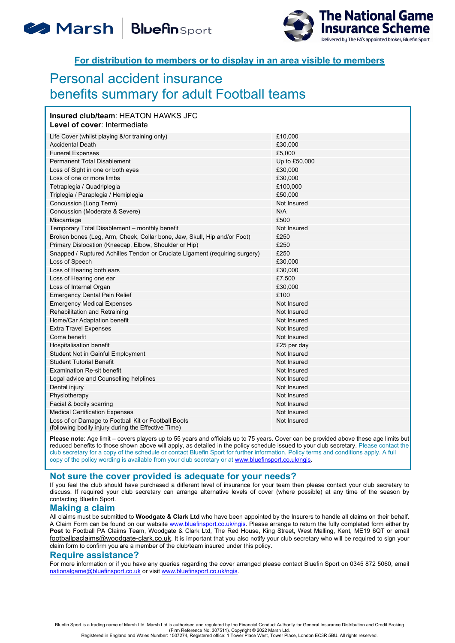# Marsh | Bluefinsport



### **For distribution to members or to display in an area visible to members**

### Personal accident insurance benefits summary for adult Football teams

| Insured club/team: HEATON HAWKS JFC<br>Level of cover: Intermediate                                        |               |  |  |
|------------------------------------------------------------------------------------------------------------|---------------|--|--|
| Life Cover (whilst playing &/or training only)                                                             | £10,000       |  |  |
| <b>Accidental Death</b>                                                                                    | £30,000       |  |  |
| <b>Funeral Expenses</b>                                                                                    | £5,000        |  |  |
| <b>Permanent Total Disablement</b>                                                                         | Up to £50,000 |  |  |
| Loss of Sight in one or both eyes                                                                          | £30,000       |  |  |
| Loss of one or more limbs                                                                                  | £30,000       |  |  |
| Tetraplegia / Quadriplegia                                                                                 | £100,000      |  |  |
| Triplegia / Paraplegia / Hemiplegia                                                                        | £50,000       |  |  |
| Concussion (Long Term)                                                                                     | Not Insured   |  |  |
| Concussion (Moderate & Severe)                                                                             | N/A           |  |  |
| Miscarriage                                                                                                | £500          |  |  |
| Temporary Total Disablement - monthly benefit                                                              | Not Insured   |  |  |
| Broken bones (Leg, Arm, Cheek, Collar bone, Jaw, Skull, Hip and/or Foot)                                   | £250          |  |  |
| Primary Dislocation (Kneecap, Elbow, Shoulder or Hip)                                                      | £250          |  |  |
| Snapped / Ruptured Achilles Tendon or Cruciate Ligament (requiring surgery)                                | £250          |  |  |
| Loss of Speech                                                                                             | £30.000       |  |  |
| Loss of Hearing both ears                                                                                  | £30,000       |  |  |
| Loss of Hearing one ear                                                                                    | £7,500        |  |  |
| Loss of Internal Organ                                                                                     | £30,000       |  |  |
| <b>Emergency Dental Pain Relief</b>                                                                        | £100          |  |  |
| <b>Emergency Medical Expenses</b>                                                                          | Not Insured   |  |  |
| <b>Rehabilitation and Retraining</b>                                                                       | Not Insured   |  |  |
| Home/Car Adaptation benefit                                                                                | Not Insured   |  |  |
| <b>Extra Travel Expenses</b>                                                                               | Not Insured   |  |  |
| Coma benefit                                                                                               | Not Insured   |  |  |
| Hospitalisation benefit                                                                                    | £25 per day   |  |  |
| Student Not in Gainful Employment                                                                          | Not Insured   |  |  |
| <b>Student Tutorial Benefit</b>                                                                            | Not Insured   |  |  |
| <b>Examination Re-sit benefit</b>                                                                          | Not Insured   |  |  |
| Legal advice and Counselling helplines                                                                     | Not Insured   |  |  |
| Dental injury                                                                                              | Not Insured   |  |  |
| Physiotherapy                                                                                              | Not Insured   |  |  |
| Facial & bodily scarring                                                                                   | Not Insured   |  |  |
| <b>Medical Certification Expenses</b>                                                                      | Not Insured   |  |  |
| Loss of or Damage to Football Kit or Football Boots<br>(following bodily injury during the Effective Time) | Not Insured   |  |  |

**Please note**: Age limit – covers players up to 55 years and officials up to 75 years. Cover can be provided above these age limits but reduced benefits to those shown above will apply, as detailed in the policy schedule issued to your club secretary. Please contact the club secretary for a copy of the schedule or contact Bluefin Sport for further information. Policy terms and conditions apply. A full copy of the policy wording is available from your club secretary or at [www.bluefinsport.co.uk/ngis.](http://www.bluefinsport.co.uk/ngis)

#### **Not sure the cover provided is adequate for your needs?**

If you feel the club should have purchased a different level of insurance for your team then please contact your club secretary to discuss. If required your club secretary can arrange alternative levels of cover (where possible) at any time of the season by contacting Bluefin Sport.

#### **Making a claim**

All claims must be submitted to **Woodgate & Clark Ltd** who have been appointed by the Insurers to handle all claims on their behalf. A Claim Form can be found on our website [www.bluefinsport.co.uk/ngis](http://www.bluefinsport.co.uk/ngis). Please arrange to return the fully completed form either by **Post** to Football PA Claims Team, Woodgate & Clark Ltd, The Red House, King Street, West Malling, Kent, ME19 6QT or email footballpaclaims@woodgate-clark.co.uk. It is important that you also notify your club secretary who will be required to sign your claim form to confirm you are a member of the club/team insured under this policy.

#### **Require assistance?**

For more information or if you have any queries regarding the cover arranged please contact Bluefin Sport on 0345 872 5060, email [nationalgame@bluefinsport.co.uk](mailto:nationalgame@bluefinsport.co.uk) or visit [www.bluefinsport.co.uk/ngis.](http://www.bluefinsport.co.uk/ngis)